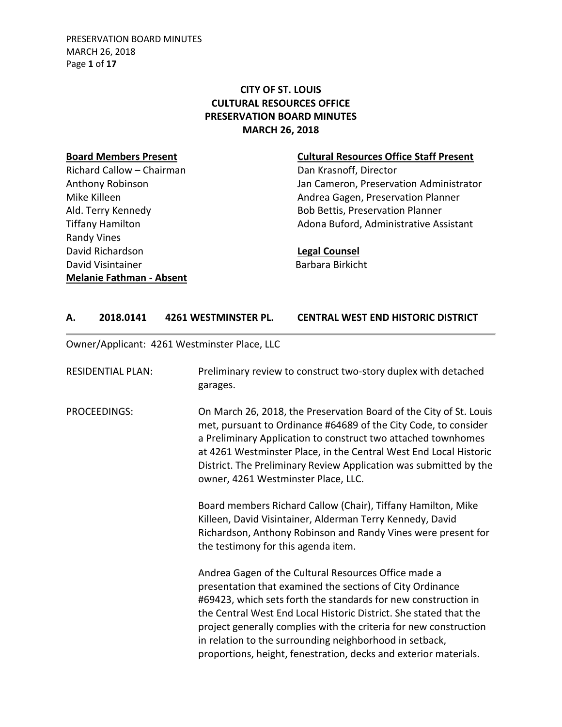# **CITY OF ST. LOUIS CULTURAL RESOURCES OFFICE PRESERVATION BOARD MINUTES MARCH 26, 2018**

Richard Callow – Chairman Dan Krasnoff, Director Randy Vines David Richardson **Legal Counsel** David Visintainer **Barbara Birkicht Melanie Fathman - Absent**

### **Board Members Present Cultural Resources Office Staff Present**

Anthony Robinson **Anthony Robinson** Jan Cameron, Preservation Administrator Mike Killeen **Andrea Gagen, Preservation Planner** Ald. Terry Kennedy **Bob Bettis, Preservation Planner** Tiffany Hamilton **Adona Buford, Administrative Assistant** 

## **A. 2018.0141 4261 WESTMINSTER PL. CENTRAL WEST END HISTORIC DISTRICT**

Owner/Applicant: 4261 Westminster Place, LLC

| <b>RESIDENTIAL PLAN:</b> | Preliminary review to construct two-story duplex with detached<br>garages.                                                                                                                                                                                                                                                                                                                                                                                   |
|--------------------------|--------------------------------------------------------------------------------------------------------------------------------------------------------------------------------------------------------------------------------------------------------------------------------------------------------------------------------------------------------------------------------------------------------------------------------------------------------------|
| <b>PROCEEDINGS:</b>      | On March 26, 2018, the Preservation Board of the City of St. Louis<br>met, pursuant to Ordinance #64689 of the City Code, to consider<br>a Preliminary Application to construct two attached townhomes<br>at 4261 Westminster Place, in the Central West End Local Historic<br>District. The Preliminary Review Application was submitted by the<br>owner, 4261 Westminster Place, LLC.                                                                      |
|                          | Board members Richard Callow (Chair), Tiffany Hamilton, Mike<br>Killeen, David Visintainer, Alderman Terry Kennedy, David<br>Richardson, Anthony Robinson and Randy Vines were present for<br>the testimony for this agenda item.                                                                                                                                                                                                                            |
|                          | Andrea Gagen of the Cultural Resources Office made a<br>presentation that examined the sections of City Ordinance<br>#69423, which sets forth the standards for new construction in<br>the Central West End Local Historic District. She stated that the<br>project generally complies with the criteria for new construction<br>in relation to the surrounding neighborhood in setback,<br>proportions, height, fenestration, decks and exterior materials. |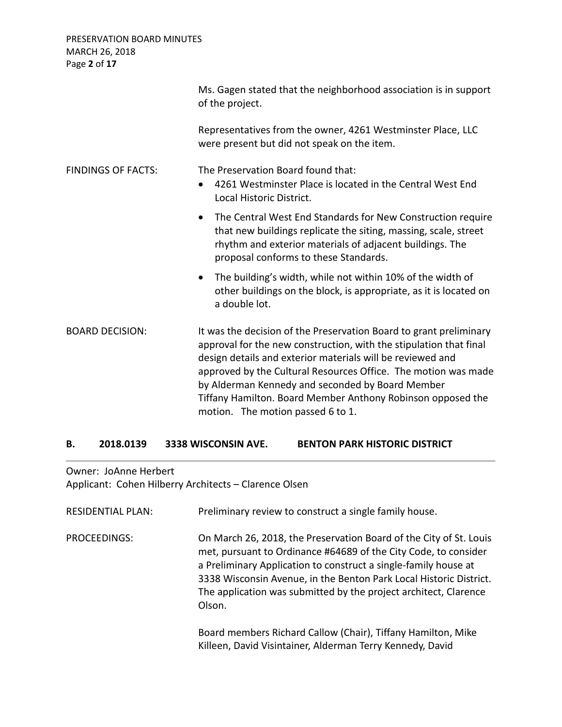PRESERVATION BOARD MINUTES MARCH 26, 2018 Page **2** of **17**

|                           | Ms. Gagen stated that the neighborhood association is in support<br>of the project.                                                                                                                                                                                                                                                                                                                                              |
|---------------------------|----------------------------------------------------------------------------------------------------------------------------------------------------------------------------------------------------------------------------------------------------------------------------------------------------------------------------------------------------------------------------------------------------------------------------------|
|                           | Representatives from the owner, 4261 Westminster Place, LLC<br>were present but did not speak on the item.                                                                                                                                                                                                                                                                                                                       |
| <b>FINDINGS OF FACTS:</b> | The Preservation Board found that:<br>4261 Westminster Place is located in the Central West End<br>$\bullet$<br>Local Historic District.                                                                                                                                                                                                                                                                                         |
|                           | The Central West End Standards for New Construction require<br>$\bullet$<br>that new buildings replicate the siting, massing, scale, street<br>rhythm and exterior materials of adjacent buildings. The<br>proposal conforms to these Standards.                                                                                                                                                                                 |
|                           | The building's width, while not within 10% of the width of<br>$\bullet$<br>other buildings on the block, is appropriate, as it is located on<br>a double lot.                                                                                                                                                                                                                                                                    |
| <b>BOARD DECISION:</b>    | It was the decision of the Preservation Board to grant preliminary<br>approval for the new construction, with the stipulation that final<br>design details and exterior materials will be reviewed and<br>approved by the Cultural Resources Office. The motion was made<br>by Alderman Kennedy and seconded by Board Member<br>Tiffany Hamilton. Board Member Anthony Robinson opposed the<br>motion. The motion passed 6 to 1. |

#### **B. 2018.0139 3338 WISCONSIN AVE. BENTON PARK HISTORIC DISTRICT**

Owner: JoAnne Herbert

Applicant: Cohen Hilberry Architects – Clarence Olsen

| <b>RESIDENTIAL PLAN:</b> | Preliminary review to construct a single family house.                                                                                                                                                                                                                                                                                                       |
|--------------------------|--------------------------------------------------------------------------------------------------------------------------------------------------------------------------------------------------------------------------------------------------------------------------------------------------------------------------------------------------------------|
| PROCEEDINGS:             | On March 26, 2018, the Preservation Board of the City of St. Louis<br>met, pursuant to Ordinance #64689 of the City Code, to consider<br>a Preliminary Application to construct a single-family house at<br>3338 Wisconsin Avenue, in the Benton Park Local Historic District.<br>The application was submitted by the project architect, Clarence<br>Olson. |
|                          | Board members Richard Callow (Chair), Tiffany Hamilton, Mike<br>Killeen, David Visintainer, Alderman Terry Kennedy, David                                                                                                                                                                                                                                    |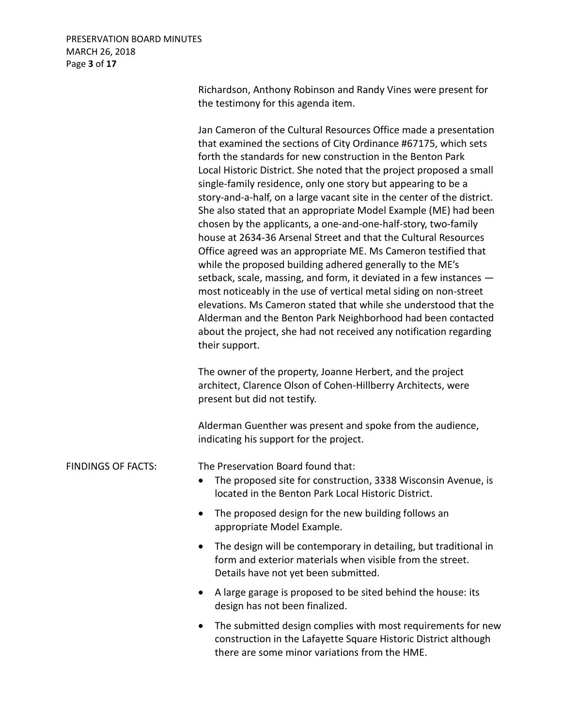Richardson, Anthony Robinson and Randy Vines were present for the testimony for this agenda item.

Jan Cameron of the Cultural Resources Office made a presentation that examined the sections of City Ordinance #67175, which sets forth the standards for new construction in the Benton Park Local Historic District. She noted that the project proposed a small single-family residence, only one story but appearing to be a story-and-a-half, on a large vacant site in the center of the district. She also stated that an appropriate Model Example (ME) had been chosen by the applicants, a one-and-one-half-story, two-family house at 2634-36 Arsenal Street and that the Cultural Resources Office agreed was an appropriate ME. Ms Cameron testified that while the proposed building adhered generally to the ME's setback, scale, massing, and form, it deviated in a few instances most noticeably in the use of vertical metal siding on non-street elevations. Ms Cameron stated that while she understood that the Alderman and the Benton Park Neighborhood had been contacted about the project, she had not received any notification regarding their support.

The owner of the property, Joanne Herbert, and the project architect, Clarence Olson of Cohen-Hillberry Architects, were present but did not testify.

Alderman Guenther was present and spoke from the audience, indicating his support for the project.

FINDINGS OF FACTS: The Preservation Board found that:

- The proposed site for construction, 3338 Wisconsin Avenue, is located in the Benton Park Local Historic District.
- The proposed design for the new building follows an appropriate Model Example.
- The design will be contemporary in detailing, but traditional in form and exterior materials when visible from the street. Details have not yet been submitted.
- A large garage is proposed to be sited behind the house: its design has not been finalized.
- The submitted design complies with most requirements for new construction in the Lafayette Square Historic District although there are some minor variations from the HME.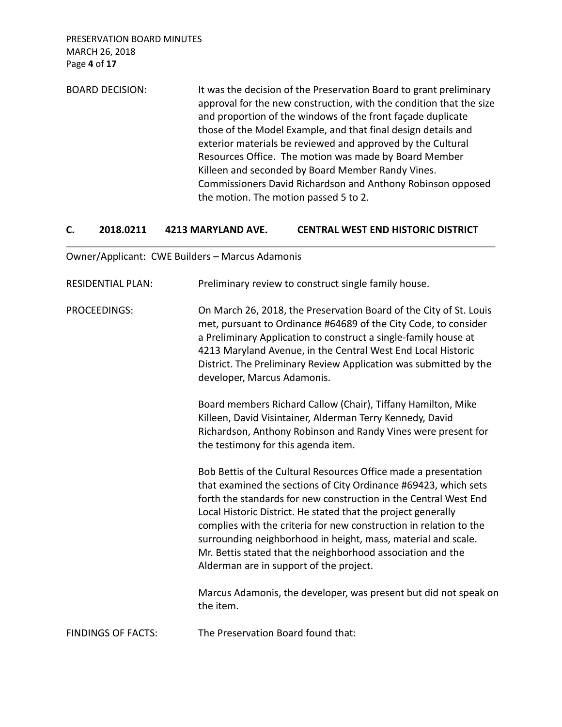PRESERVATION BOARD MINUTES MARCH 26, 2018 Page **4** of **17**

BOARD DECISION: It was the decision of the Preservation Board to grant preliminary approval for the new construction, with the condition that the size and proportion of the windows of the front façade duplicate those of the Model Example, and that final design details and exterior materials be reviewed and approved by the Cultural Resources Office. The motion was made by Board Member Killeen and seconded by Board Member Randy Vines. Commissioners David Richardson and Anthony Robinson opposed the motion. The motion passed 5 to 2.

### **C. 2018.0211 4213 MARYLAND AVE. CENTRAL WEST END HISTORIC DISTRICT**

#### Owner/Applicant: CWE Builders – Marcus Adamonis

| <b>RESIDENTIAL PLAN:</b>  | Preliminary review to construct single family house.                                                                                                                                                                                                                                                                                                                                                                                                                                                                     |
|---------------------------|--------------------------------------------------------------------------------------------------------------------------------------------------------------------------------------------------------------------------------------------------------------------------------------------------------------------------------------------------------------------------------------------------------------------------------------------------------------------------------------------------------------------------|
| <b>PROCEEDINGS:</b>       | On March 26, 2018, the Preservation Board of the City of St. Louis<br>met, pursuant to Ordinance #64689 of the City Code, to consider<br>a Preliminary Application to construct a single-family house at<br>4213 Maryland Avenue, in the Central West End Local Historic<br>District. The Preliminary Review Application was submitted by the<br>developer, Marcus Adamonis.                                                                                                                                             |
|                           | Board members Richard Callow (Chair), Tiffany Hamilton, Mike<br>Killeen, David Visintainer, Alderman Terry Kennedy, David<br>Richardson, Anthony Robinson and Randy Vines were present for<br>the testimony for this agenda item.                                                                                                                                                                                                                                                                                        |
|                           | Bob Bettis of the Cultural Resources Office made a presentation<br>that examined the sections of City Ordinance #69423, which sets<br>forth the standards for new construction in the Central West End<br>Local Historic District. He stated that the project generally<br>complies with the criteria for new construction in relation to the<br>surrounding neighborhood in height, mass, material and scale.<br>Mr. Bettis stated that the neighborhood association and the<br>Alderman are in support of the project. |
|                           | Marcus Adamonis, the developer, was present but did not speak on<br>the item.                                                                                                                                                                                                                                                                                                                                                                                                                                            |
| <b>FINDINGS OF FACTS:</b> | The Preservation Board found that:                                                                                                                                                                                                                                                                                                                                                                                                                                                                                       |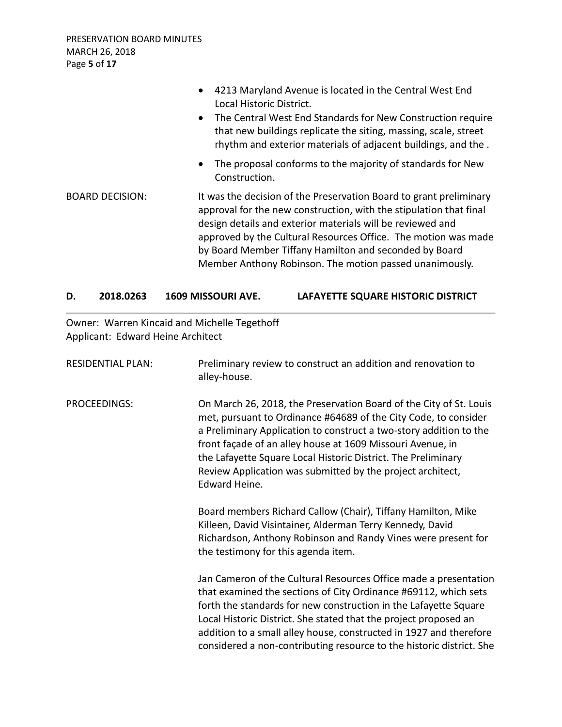|                        | 4213 Maryland Avenue is located in the Central West End<br>$\bullet$<br>Local Historic District.<br>The Central West End Standards for New Construction require<br>$\bullet$<br>that new buildings replicate the siting, massing, scale, street<br>rhythm and exterior materials of adjacent buildings, and the.                                                                              |
|------------------------|-----------------------------------------------------------------------------------------------------------------------------------------------------------------------------------------------------------------------------------------------------------------------------------------------------------------------------------------------------------------------------------------------|
|                        | • The proposal conforms to the majority of standards for New<br>Construction.                                                                                                                                                                                                                                                                                                                 |
| <b>BOARD DECISION:</b> | It was the decision of the Preservation Board to grant preliminary<br>approval for the new construction, with the stipulation that final<br>design details and exterior materials will be reviewed and<br>approved by the Cultural Resources Office. The motion was made<br>by Board Member Tiffany Hamilton and seconded by Board<br>Member Anthony Robinson. The motion passed unanimously. |

# **D. 2018.0263 1609 MISSOURI AVE. LAFAYETTE SQUARE HISTORIC DISTRICT**

Owner: Warren Kincaid and Michelle Tegethoff Applicant: Edward Heine Architect

| <b>RESIDENTIAL PLAN:</b> | Preliminary review to construct an addition and renovation to<br>alley-house.                                                                                                                                                                                                                                                                                                                                             |
|--------------------------|---------------------------------------------------------------------------------------------------------------------------------------------------------------------------------------------------------------------------------------------------------------------------------------------------------------------------------------------------------------------------------------------------------------------------|
| PROCEEDINGS:             | On March 26, 2018, the Preservation Board of the City of St. Louis<br>met, pursuant to Ordinance #64689 of the City Code, to consider<br>a Preliminary Application to construct a two-story addition to the<br>front façade of an alley house at 1609 Missouri Avenue, in<br>the Lafayette Square Local Historic District. The Preliminary<br>Review Application was submitted by the project architect,<br>Edward Heine. |
|                          | Board members Richard Callow (Chair), Tiffany Hamilton, Mike<br>Killeen, David Visintainer, Alderman Terry Kennedy, David<br>Richardson, Anthony Robinson and Randy Vines were present for<br>the testimony for this agenda item.                                                                                                                                                                                         |
|                          | Jan Cameron of the Cultural Resources Office made a presentation<br>that examined the sections of City Ordinance #69112, which sets<br>forth the standards for new construction in the Lafayette Square<br>Local Historic District. She stated that the project proposed an<br>addition to a small alley house, constructed in 1927 and therefore<br>considered a non-contributing resource to the historic district. She |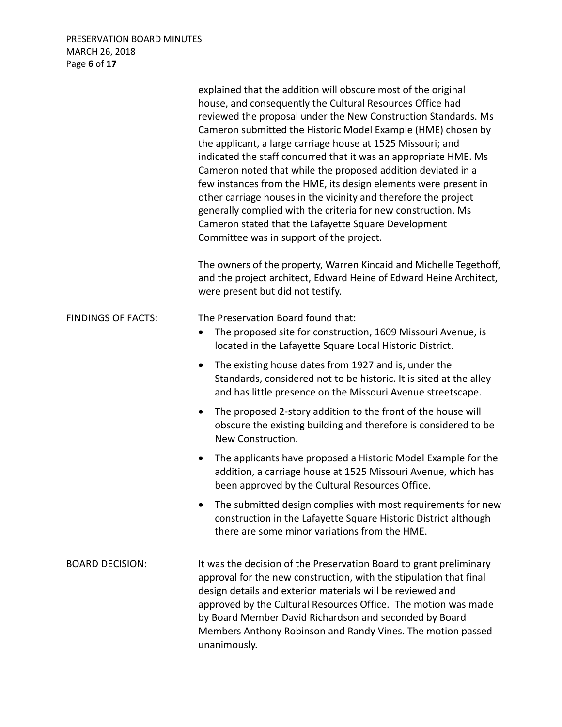# PRESERVATION BOARD MINUTES MARCH 26, 2018 Page **6** of **17**

|                           | explained that the addition will obscure most of the original<br>house, and consequently the Cultural Resources Office had<br>reviewed the proposal under the New Construction Standards. Ms<br>Cameron submitted the Historic Model Example (HME) chosen by<br>the applicant, a large carriage house at 1525 Missouri; and<br>indicated the staff concurred that it was an appropriate HME. Ms<br>Cameron noted that while the proposed addition deviated in a<br>few instances from the HME, its design elements were present in<br>other carriage houses in the vicinity and therefore the project<br>generally complied with the criteria for new construction. Ms<br>Cameron stated that the Lafayette Square Development<br>Committee was in support of the project. |
|---------------------------|----------------------------------------------------------------------------------------------------------------------------------------------------------------------------------------------------------------------------------------------------------------------------------------------------------------------------------------------------------------------------------------------------------------------------------------------------------------------------------------------------------------------------------------------------------------------------------------------------------------------------------------------------------------------------------------------------------------------------------------------------------------------------|
|                           | The owners of the property, Warren Kincaid and Michelle Tegethoff,<br>and the project architect, Edward Heine of Edward Heine Architect,<br>were present but did not testify.                                                                                                                                                                                                                                                                                                                                                                                                                                                                                                                                                                                              |
| <b>FINDINGS OF FACTS:</b> | The Preservation Board found that:<br>The proposed site for construction, 1609 Missouri Avenue, is<br>$\bullet$<br>located in the Lafayette Square Local Historic District.                                                                                                                                                                                                                                                                                                                                                                                                                                                                                                                                                                                                |
|                           | The existing house dates from 1927 and is, under the<br>$\bullet$<br>Standards, considered not to be historic. It is sited at the alley<br>and has little presence on the Missouri Avenue streetscape.                                                                                                                                                                                                                                                                                                                                                                                                                                                                                                                                                                     |
|                           | The proposed 2-story addition to the front of the house will<br>$\bullet$<br>obscure the existing building and therefore is considered to be<br>New Construction.                                                                                                                                                                                                                                                                                                                                                                                                                                                                                                                                                                                                          |
|                           | The applicants have proposed a Historic Model Example for the<br>$\bullet$<br>addition, a carriage house at 1525 Missouri Avenue, which has<br>been approved by the Cultural Resources Office.                                                                                                                                                                                                                                                                                                                                                                                                                                                                                                                                                                             |
|                           | The submitted design complies with most requirements for new<br>construction in the Lafayette Square Historic District although<br>there are some minor variations from the HME.                                                                                                                                                                                                                                                                                                                                                                                                                                                                                                                                                                                           |
| <b>BOARD DECISION:</b>    | It was the decision of the Preservation Board to grant preliminary<br>approval for the new construction, with the stipulation that final<br>design details and exterior materials will be reviewed and<br>approved by the Cultural Resources Office. The motion was made<br>by Board Member David Richardson and seconded by Board<br>Members Anthony Robinson and Randy Vines. The motion passed<br>unanimously.                                                                                                                                                                                                                                                                                                                                                          |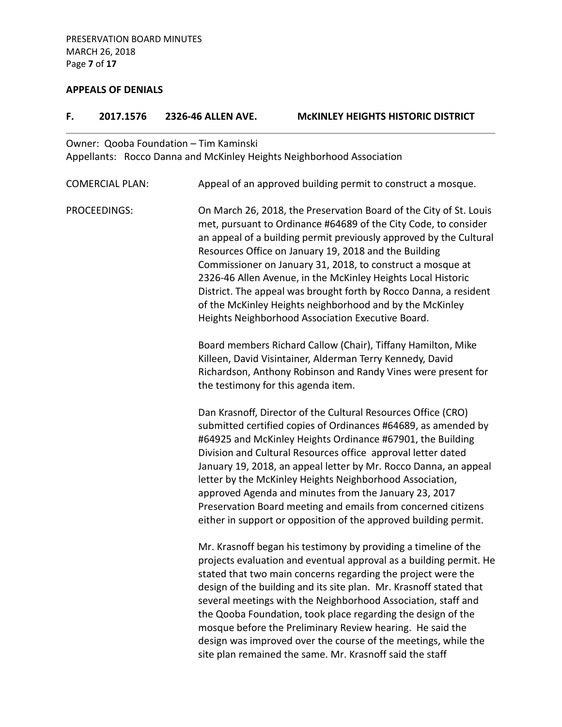#### **APPEALS OF DENIALS**

# **F. 2017.1576 2326-46 ALLEN AVE. McKINLEY HEIGHTS HISTORIC DISTRICT** Owner: Qooba Foundation – Tim Kaminski Appellants: Rocco Danna and McKinley Heights Neighborhood Association COMERCIAL PLAN: Appeal of an approved building permit to construct a mosque. PROCEEDINGS: On March 26, 2018, the Preservation Board of the City of St. Louis met, pursuant to Ordinance #64689 of the City Code, to consider an appeal of a building permit previously approved by the Cultural Resources Office on January 19, 2018 and the Building Commissioner on January 31, 2018, to construct a mosque at 2326-46 Allen Avenue, in the McKinley Heights Local Historic District. The appeal was brought forth by Rocco Danna, a resident of the McKinley Heights neighborhood and by the McKinley Heights Neighborhood Association Executive Board. Board members Richard Callow (Chair), Tiffany Hamilton, Mike Killeen, David Visintainer, Alderman Terry Kennedy, David Richardson, Anthony Robinson and Randy Vines were present for the testimony for this agenda item. Dan Krasnoff, Director of the Cultural Resources Office (CRO) submitted certified copies of Ordinances #64689, as amended by #64925 and McKinley Heights Ordinance #67901, the Building Division and Cultural Resources office approval letter dated January 19, 2018, an appeal letter by Mr. Rocco Danna, an appeal letter by the McKinley Heights Neighborhood Association, approved Agenda and minutes from the January 23, 2017 Preservation Board meeting and emails from concerned citizens either in support or opposition of the approved building permit. Mr. Krasnoff began his testimony by providing a timeline of the stated that two main concerns regarding the project were the design of the building and its site plan. Mr. Krasnoff stated that

projects evaluation and eventual approval as a building permit. He several meetings with the Neighborhood Association, staff and the Qooba Foundation, took place regarding the design of the mosque before the Preliminary Review hearing. He said the design was improved over the course of the meetings, while the site plan remained the same. Mr. Krasnoff said the staff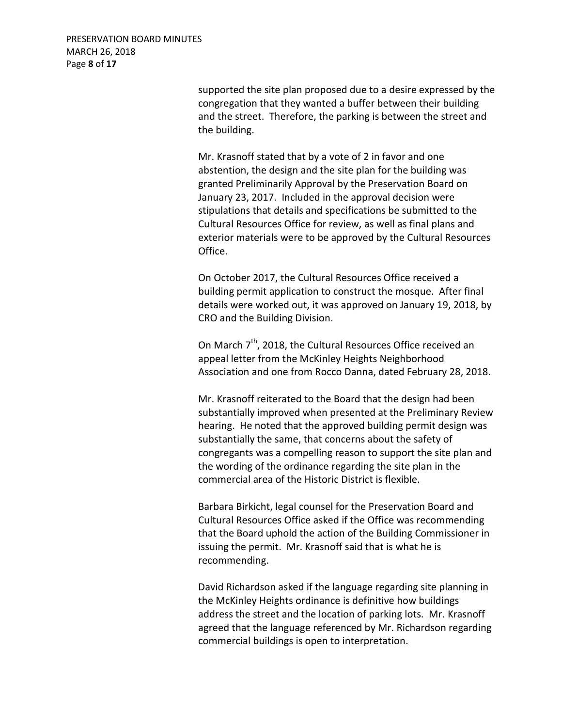supported the site plan proposed due to a desire expressed by the congregation that they wanted a buffer between their building and the street. Therefore, the parking is between the street and the building.

Mr. Krasnoff stated that by a vote of 2 in favor and one abstention, the design and the site plan for the building was granted Preliminarily Approval by the Preservation Board on January 23, 2017. Included in the approval decision were stipulations that details and specifications be submitted to the Cultural Resources Office for review, as well as final plans and exterior materials were to be approved by the Cultural Resources Office.

On October 2017, the Cultural Resources Office received a building permit application to construct the mosque. After final details were worked out, it was approved on January 19, 2018, by CRO and the Building Division.

On March 7<sup>th</sup>, 2018, the Cultural Resources Office received an appeal letter from the McKinley Heights Neighborhood Association and one from Rocco Danna, dated February 28, 2018.

Mr. Krasnoff reiterated to the Board that the design had been substantially improved when presented at the Preliminary Review hearing. He noted that the approved building permit design was substantially the same, that concerns about the safety of congregants was a compelling reason to support the site plan and the wording of the ordinance regarding the site plan in the commercial area of the Historic District is flexible.

Barbara Birkicht, legal counsel for the Preservation Board and Cultural Resources Office asked if the Office was recommending that the Board uphold the action of the Building Commissioner in issuing the permit. Mr. Krasnoff said that is what he is recommending.

David Richardson asked if the language regarding site planning in the McKinley Heights ordinance is definitive how buildings address the street and the location of parking lots. Mr. Krasnoff agreed that the language referenced by Mr. Richardson regarding commercial buildings is open to interpretation.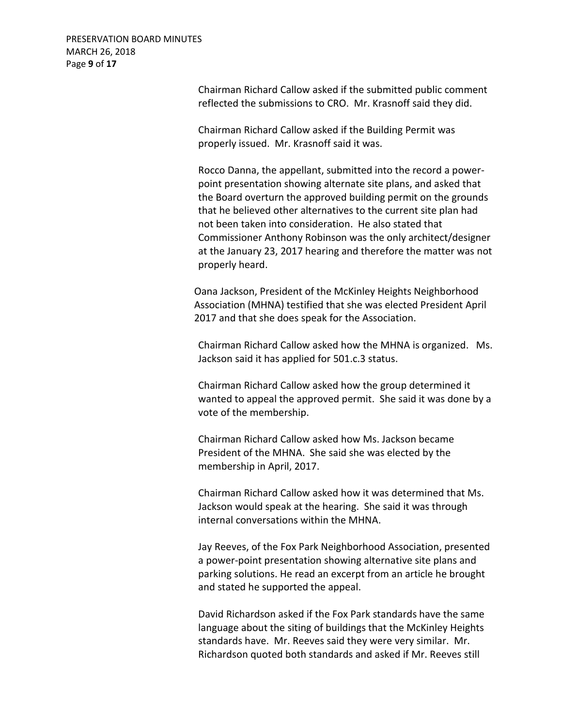PRESERVATION BOARD MINUTES MARCH 26, 2018 Page **9** of **17**

> Chairman Richard Callow asked if the submitted public comment reflected the submissions to CRO. Mr. Krasnoff said they did.

Chairman Richard Callow asked if the Building Permit was properly issued. Mr. Krasnoff said it was.

Rocco Danna, the appellant, submitted into the record a powerpoint presentation showing alternate site plans, and asked that the Board overturn the approved building permit on the grounds that he believed other alternatives to the current site plan had not been taken into consideration. He also stated that Commissioner Anthony Robinson was the only architect/designer at the January 23, 2017 hearing and therefore the matter was not properly heard.

Oana Jackson, President of the McKinley Heights Neighborhood Association (MHNA) testified that she was elected President April 2017 and that she does speak for the Association.

Chairman Richard Callow asked how the MHNA is organized. Ms. Jackson said it has applied for 501.c.3 status.

Chairman Richard Callow asked how the group determined it wanted to appeal the approved permit. She said it was done by a vote of the membership.

Chairman Richard Callow asked how Ms. Jackson became President of the MHNA. She said she was elected by the membership in April, 2017.

Chairman Richard Callow asked how it was determined that Ms. Jackson would speak at the hearing. She said it was through internal conversations within the MHNA.

Jay Reeves, of the Fox Park Neighborhood Association, presented a power-point presentation showing alternative site plans and parking solutions. He read an excerpt from an article he brought and stated he supported the appeal.

David Richardson asked if the Fox Park standards have the same language about the siting of buildings that the McKinley Heights standards have. Mr. Reeves said they were very similar. Mr. Richardson quoted both standards and asked if Mr. Reeves still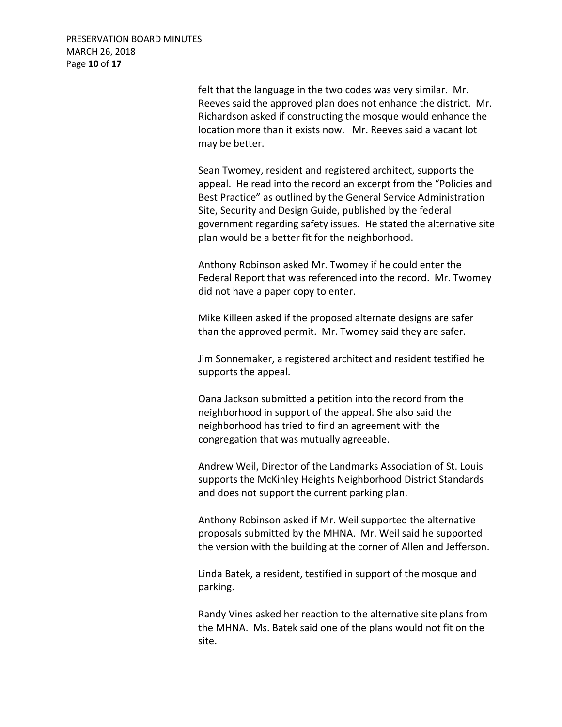PRESERVATION BOARD MINUTES MARCH 26, 2018 Page **10** of **17**

> felt that the language in the two codes was very similar. Mr. Reeves said the approved plan does not enhance the district. Mr. Richardson asked if constructing the mosque would enhance the location more than it exists now. Mr. Reeves said a vacant lot may be better.

Sean Twomey, resident and registered architect, supports the appeal. He read into the record an excerpt from the "Policies and Best Practice" as outlined by the General Service Administration Site, Security and Design Guide, published by the federal government regarding safety issues. He stated the alternative site plan would be a better fit for the neighborhood.

Anthony Robinson asked Mr. Twomey if he could enter the Federal Report that was referenced into the record. Mr. Twomey did not have a paper copy to enter.

Mike Killeen asked if the proposed alternate designs are safer than the approved permit. Mr. Twomey said they are safer.

Jim Sonnemaker, a registered architect and resident testified he supports the appeal.

Oana Jackson submitted a petition into the record from the neighborhood in support of the appeal. She also said the neighborhood has tried to find an agreement with the congregation that was mutually agreeable.

Andrew Weil, Director of the Landmarks Association of St. Louis supports the McKinley Heights Neighborhood District Standards and does not support the current parking plan.

Anthony Robinson asked if Mr. Weil supported the alternative proposals submitted by the MHNA. Mr. Weil said he supported the version with the building at the corner of Allen and Jefferson.

Linda Batek, a resident, testified in support of the mosque and parking.

Randy Vines asked her reaction to the alternative site plans from the MHNA. Ms. Batek said one of the plans would not fit on the site.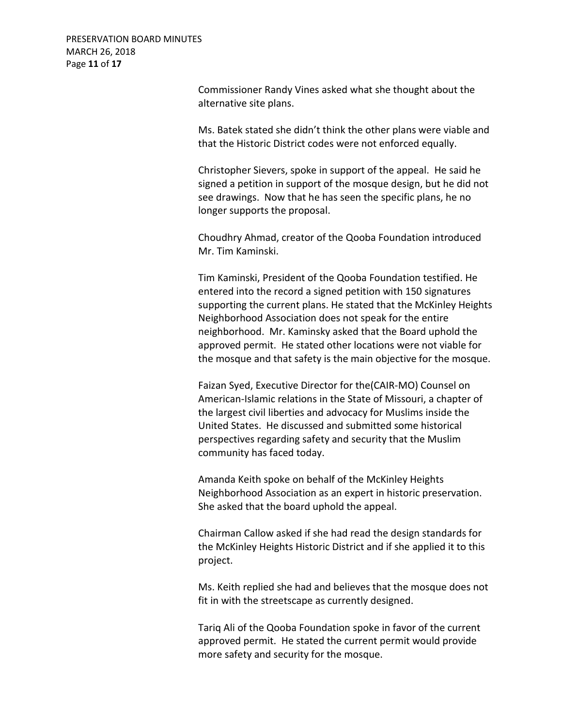PRESERVATION BOARD MINUTES MARCH 26, 2018 Page **11** of **17**

> Commissioner Randy Vines asked what she thought about the alternative site plans.

Ms. Batek stated she didn't think the other plans were viable and that the Historic District codes were not enforced equally.

Christopher Sievers, spoke in support of the appeal. He said he signed a petition in support of the mosque design, but he did not see drawings. Now that he has seen the specific plans, he no longer supports the proposal.

Choudhry Ahmad, creator of the Qooba Foundation introduced Mr. Tim Kaminski.

Tim Kaminski, President of the Qooba Foundation testified. He entered into the record a signed petition with 150 signatures supporting the current plans. He stated that the McKinley Heights Neighborhood Association does not speak for the entire neighborhood. Mr. Kaminsky asked that the Board uphold the approved permit. He stated other locations were not viable for the mosque and that safety is the main objective for the mosque.

Faizan Syed, Executive Director for the(CAIR-MO) Counsel on American-Islamic relations in the State of Missouri, a chapter of the largest civil liberties and advocacy for Muslims inside the United States. He discussed and submitted some historical perspectives regarding safety and security that the Muslim community has faced today.

Amanda Keith spoke on behalf of the McKinley Heights Neighborhood Association as an expert in historic preservation. She asked that the board uphold the appeal.

Chairman Callow asked if she had read the design standards for the McKinley Heights Historic District and if she applied it to this project.

Ms. Keith replied she had and believes that the mosque does not fit in with the streetscape as currently designed.

Tariq Ali of the Qooba Foundation spoke in favor of the current approved permit. He stated the current permit would provide more safety and security for the mosque.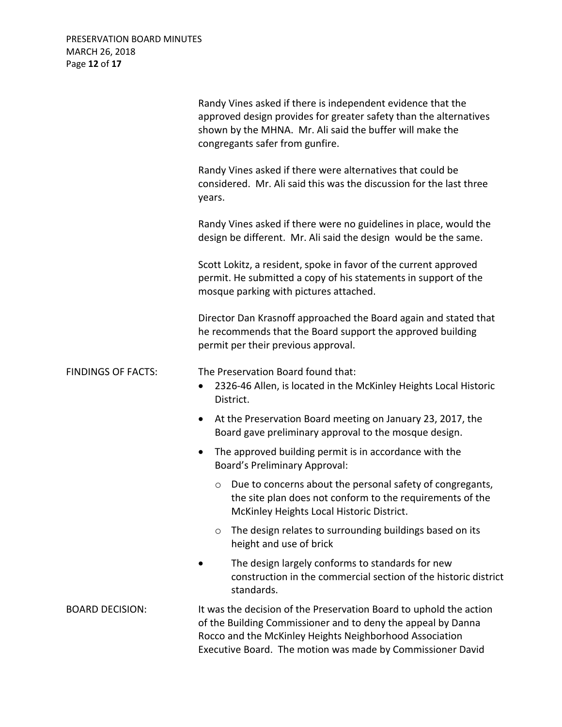PRESERVATION BOARD MINUTES MARCH 26, 2018 Page **12** of **17**

|                           | Randy Vines asked if there is independent evidence that the<br>approved design provides for greater safety than the alternatives<br>shown by the MHNA. Mr. Ali said the buffer will make the<br>congregants safer from gunfire.                             |
|---------------------------|-------------------------------------------------------------------------------------------------------------------------------------------------------------------------------------------------------------------------------------------------------------|
|                           | Randy Vines asked if there were alternatives that could be<br>considered. Mr. Ali said this was the discussion for the last three<br>years.                                                                                                                 |
|                           | Randy Vines asked if there were no guidelines in place, would the<br>design be different. Mr. Ali said the design would be the same.                                                                                                                        |
|                           | Scott Lokitz, a resident, spoke in favor of the current approved<br>permit. He submitted a copy of his statements in support of the<br>mosque parking with pictures attached.                                                                               |
|                           | Director Dan Krasnoff approached the Board again and stated that<br>he recommends that the Board support the approved building<br>permit per their previous approval.                                                                                       |
| <b>FINDINGS OF FACTS:</b> | The Preservation Board found that:<br>2326-46 Allen, is located in the McKinley Heights Local Historic<br>District.                                                                                                                                         |
|                           | At the Preservation Board meeting on January 23, 2017, the<br>$\bullet$<br>Board gave preliminary approval to the mosque design.                                                                                                                            |
|                           | The approved building permit is in accordance with the<br>$\bullet$<br>Board's Preliminary Approval:                                                                                                                                                        |
|                           | Due to concerns about the personal safety of congregants,<br>$\circ$<br>the site plan does not conform to the requirements of the<br>McKinley Heights Local Historic District.                                                                              |
|                           | The design relates to surrounding buildings based on its<br>O<br>height and use of brick                                                                                                                                                                    |
|                           | The design largely conforms to standards for new<br>construction in the commercial section of the historic district<br>standards.                                                                                                                           |
| <b>BOARD DECISION:</b>    | It was the decision of the Preservation Board to uphold the action<br>of the Building Commissioner and to deny the appeal by Danna<br>Rocco and the McKinley Heights Neighborhood Association<br>Executive Board. The motion was made by Commissioner David |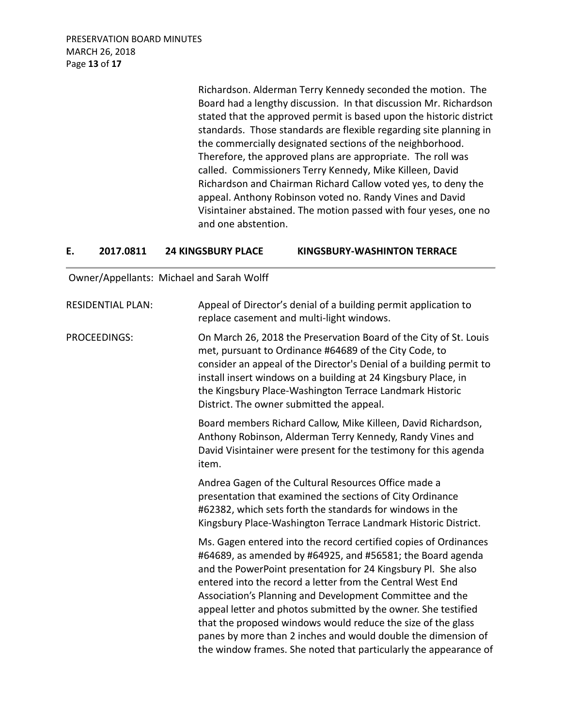PRESERVATION BOARD MINUTES MARCH 26, 2018 Page **13** of **17**

> Richardson. Alderman Terry Kennedy seconded the motion. The Board had a lengthy discussion. In that discussion Mr. Richardson stated that the approved permit is based upon the historic district standards. Those standards are flexible regarding site planning in the commercially designated sections of the neighborhood. Therefore, the approved plans are appropriate. The roll was called. Commissioners Terry Kennedy, Mike Killeen, David Richardson and Chairman Richard Callow voted yes, to deny the appeal. Anthony Robinson voted no. Randy Vines and David Visintainer abstained. The motion passed with four yeses, one no and one abstention.

#### **E. 2017.0811 24 KINGSBURY PLACE KINGSBURY-WASHINTON TERRACE**

Owner/Appellants: Michael and Sarah Wolff

| <b>RESIDENTIAL PLAN:</b> | Appeal of Director's denial of a building permit application to<br>replace casement and multi-light windows.                                                                                                                                                                                                                                                                                                                                                                                                                                                                                     |
|--------------------------|--------------------------------------------------------------------------------------------------------------------------------------------------------------------------------------------------------------------------------------------------------------------------------------------------------------------------------------------------------------------------------------------------------------------------------------------------------------------------------------------------------------------------------------------------------------------------------------------------|
| <b>PROCEEDINGS:</b>      | On March 26, 2018 the Preservation Board of the City of St. Louis<br>met, pursuant to Ordinance #64689 of the City Code, to<br>consider an appeal of the Director's Denial of a building permit to<br>install insert windows on a building at 24 Kingsbury Place, in<br>the Kingsbury Place-Washington Terrace Landmark Historic<br>District. The owner submitted the appeal.                                                                                                                                                                                                                    |
|                          | Board members Richard Callow, Mike Killeen, David Richardson,<br>Anthony Robinson, Alderman Terry Kennedy, Randy Vines and<br>David Visintainer were present for the testimony for this agenda<br>item.                                                                                                                                                                                                                                                                                                                                                                                          |
|                          | Andrea Gagen of the Cultural Resources Office made a<br>presentation that examined the sections of City Ordinance<br>#62382, which sets forth the standards for windows in the<br>Kingsbury Place-Washington Terrace Landmark Historic District.                                                                                                                                                                                                                                                                                                                                                 |
|                          | Ms. Gagen entered into the record certified copies of Ordinances<br>#64689, as amended by #64925, and #56581; the Board agenda<br>and the PowerPoint presentation for 24 Kingsbury Pl. She also<br>entered into the record a letter from the Central West End<br>Association's Planning and Development Committee and the<br>appeal letter and photos submitted by the owner. She testified<br>that the proposed windows would reduce the size of the glass<br>panes by more than 2 inches and would double the dimension of<br>the window frames. She noted that particularly the appearance of |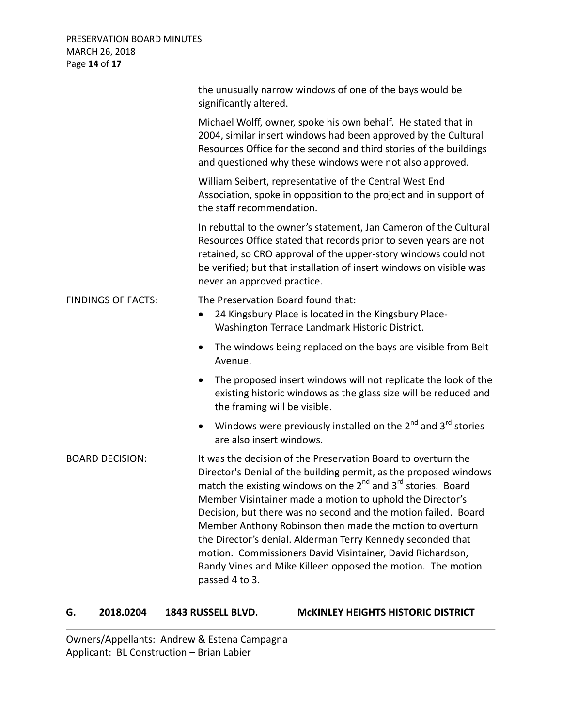|                           | the unusually narrow windows of one of the bays would be<br>significantly altered.                                                                                                                                                                                                                                                                                                                                                                                                                                                                                                                                                  |
|---------------------------|-------------------------------------------------------------------------------------------------------------------------------------------------------------------------------------------------------------------------------------------------------------------------------------------------------------------------------------------------------------------------------------------------------------------------------------------------------------------------------------------------------------------------------------------------------------------------------------------------------------------------------------|
|                           | Michael Wolff, owner, spoke his own behalf. He stated that in<br>2004, similar insert windows had been approved by the Cultural<br>Resources Office for the second and third stories of the buildings<br>and questioned why these windows were not also approved.                                                                                                                                                                                                                                                                                                                                                                   |
|                           | William Seibert, representative of the Central West End<br>Association, spoke in opposition to the project and in support of<br>the staff recommendation.                                                                                                                                                                                                                                                                                                                                                                                                                                                                           |
|                           | In rebuttal to the owner's statement, Jan Cameron of the Cultural<br>Resources Office stated that records prior to seven years are not<br>retained, so CRO approval of the upper-story windows could not<br>be verified; but that installation of insert windows on visible was<br>never an approved practice.                                                                                                                                                                                                                                                                                                                      |
| <b>FINDINGS OF FACTS:</b> | The Preservation Board found that:<br>24 Kingsbury Place is located in the Kingsbury Place-<br>$\bullet$<br>Washington Terrace Landmark Historic District.                                                                                                                                                                                                                                                                                                                                                                                                                                                                          |
|                           | The windows being replaced on the bays are visible from Belt<br>$\bullet$<br>Avenue.                                                                                                                                                                                                                                                                                                                                                                                                                                                                                                                                                |
|                           | The proposed insert windows will not replicate the look of the<br>$\bullet$<br>existing historic windows as the glass size will be reduced and<br>the framing will be visible.                                                                                                                                                                                                                                                                                                                                                                                                                                                      |
|                           | Windows were previously installed on the $2^{nd}$ and $3^{rd}$ stories<br>$\bullet$<br>are also insert windows.                                                                                                                                                                                                                                                                                                                                                                                                                                                                                                                     |
| <b>BOARD DECISION:</b>    | It was the decision of the Preservation Board to overturn the<br>Director's Denial of the building permit, as the proposed windows<br>match the existing windows on the 2 <sup>nd</sup> and 3 <sup>rd</sup> stories. Board<br>Member Visintainer made a motion to uphold the Director's<br>Decision, but there was no second and the motion failed. Board<br>Member Anthony Robinson then made the motion to overturn<br>the Director's denial. Alderman Terry Kennedy seconded that<br>motion. Commissioners David Visintainer, David Richardson,<br>Randy Vines and Mike Killeen opposed the motion. The motion<br>passed 4 to 3. |

### **G. 2018.0204 1843 RUSSELL BLVD. McKINLEY HEIGHTS HISTORIC DISTRICT**

Owners/Appellants: Andrew & Estena Campagna Applicant: BL Construction – Brian Labier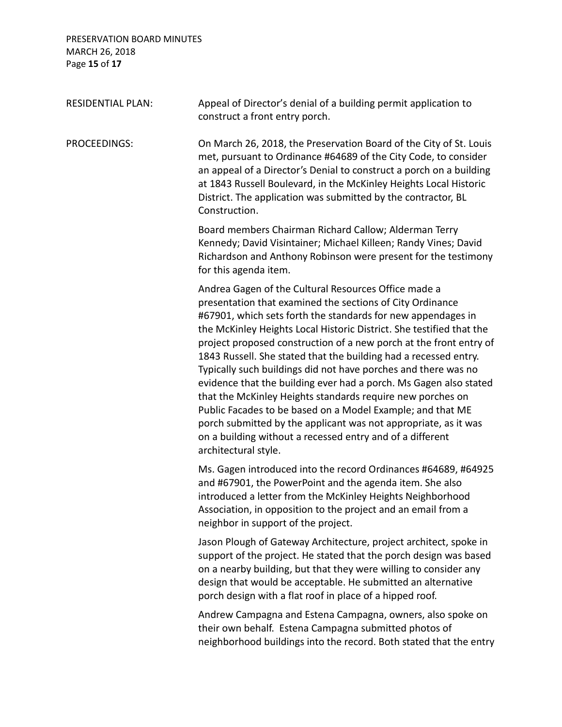PRESERVATION BOARD MINUTES MARCH 26, 2018 Page **15** of **17**

| <b>RESIDENTIAL PLAN:</b> | Appeal of Director's denial of a building permit application to<br>construct a front entry porch.                                                                                                                                                                                                                                                                                                                                                                                                                                                                                                                                                                                                                                                                                                                              |
|--------------------------|--------------------------------------------------------------------------------------------------------------------------------------------------------------------------------------------------------------------------------------------------------------------------------------------------------------------------------------------------------------------------------------------------------------------------------------------------------------------------------------------------------------------------------------------------------------------------------------------------------------------------------------------------------------------------------------------------------------------------------------------------------------------------------------------------------------------------------|
| PROCEEDINGS:             | On March 26, 2018, the Preservation Board of the City of St. Louis<br>met, pursuant to Ordinance #64689 of the City Code, to consider<br>an appeal of a Director's Denial to construct a porch on a building<br>at 1843 Russell Boulevard, in the McKinley Heights Local Historic<br>District. The application was submitted by the contractor, BL<br>Construction.                                                                                                                                                                                                                                                                                                                                                                                                                                                            |
|                          | Board members Chairman Richard Callow; Alderman Terry<br>Kennedy; David Visintainer; Michael Killeen; Randy Vines; David<br>Richardson and Anthony Robinson were present for the testimony<br>for this agenda item.                                                                                                                                                                                                                                                                                                                                                                                                                                                                                                                                                                                                            |
|                          | Andrea Gagen of the Cultural Resources Office made a<br>presentation that examined the sections of City Ordinance<br>#67901, which sets forth the standards for new appendages in<br>the McKinley Heights Local Historic District. She testified that the<br>project proposed construction of a new porch at the front entry of<br>1843 Russell. She stated that the building had a recessed entry.<br>Typically such buildings did not have porches and there was no<br>evidence that the building ever had a porch. Ms Gagen also stated<br>that the McKinley Heights standards require new porches on<br>Public Facades to be based on a Model Example; and that ME<br>porch submitted by the applicant was not appropriate, as it was<br>on a building without a recessed entry and of a different<br>architectural style. |
|                          | Ms. Gagen introduced into the record Ordinances #64689, #64925<br>and #67901, the PowerPoint and the agenda item. She also<br>introduced a letter from the McKinley Heights Neighborhood<br>Association, in opposition to the project and an email from a<br>neighbor in support of the project.                                                                                                                                                                                                                                                                                                                                                                                                                                                                                                                               |
|                          | Jason Plough of Gateway Architecture, project architect, spoke in<br>support of the project. He stated that the porch design was based<br>on a nearby building, but that they were willing to consider any<br>design that would be acceptable. He submitted an alternative<br>porch design with a flat roof in place of a hipped roof.                                                                                                                                                                                                                                                                                                                                                                                                                                                                                         |
|                          | Andrew Campagna and Estena Campagna, owners, also spoke on<br>their own behalf. Estena Campagna submitted photos of<br>neighborhood buildings into the record. Both stated that the entry                                                                                                                                                                                                                                                                                                                                                                                                                                                                                                                                                                                                                                      |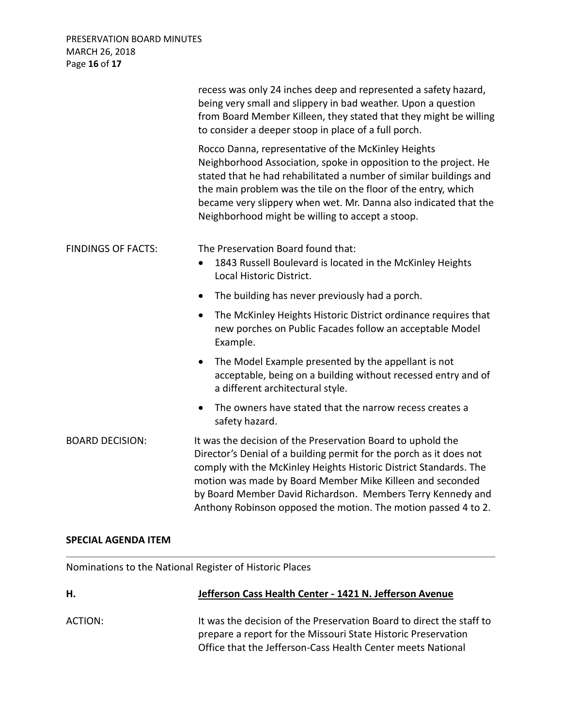|                           | recess was only 24 inches deep and represented a safety hazard,<br>being very small and slippery in bad weather. Upon a question<br>from Board Member Killeen, they stated that they might be willing<br>to consider a deeper stoop in place of a full porch.                                                                                                                                         |
|---------------------------|-------------------------------------------------------------------------------------------------------------------------------------------------------------------------------------------------------------------------------------------------------------------------------------------------------------------------------------------------------------------------------------------------------|
|                           | Rocco Danna, representative of the McKinley Heights<br>Neighborhood Association, spoke in opposition to the project. He<br>stated that he had rehabilitated a number of similar buildings and<br>the main problem was the tile on the floor of the entry, which<br>became very slippery when wet. Mr. Danna also indicated that the<br>Neighborhood might be willing to accept a stoop.               |
| <b>FINDINGS OF FACTS:</b> | The Preservation Board found that:<br>1843 Russell Boulevard is located in the McKinley Heights<br>$\bullet$<br>Local Historic District.                                                                                                                                                                                                                                                              |
|                           | The building has never previously had a porch.<br>$\bullet$                                                                                                                                                                                                                                                                                                                                           |
|                           | The McKinley Heights Historic District ordinance requires that<br>$\bullet$<br>new porches on Public Facades follow an acceptable Model<br>Example.                                                                                                                                                                                                                                                   |
|                           | The Model Example presented by the appellant is not<br>$\bullet$<br>acceptable, being on a building without recessed entry and of<br>a different architectural style.                                                                                                                                                                                                                                 |
|                           | The owners have stated that the narrow recess creates a<br>$\bullet$<br>safety hazard.                                                                                                                                                                                                                                                                                                                |
| <b>BOARD DECISION:</b>    | It was the decision of the Preservation Board to uphold the<br>Director's Denial of a building permit for the porch as it does not<br>comply with the McKinley Heights Historic District Standards. The<br>motion was made by Board Member Mike Killeen and seconded<br>by Board Member David Richardson. Members Terry Kennedy and<br>Anthony Robinson opposed the motion. The motion passed 4 to 2. |

### **SPECIAL AGENDA ITEM**

Nominations to the National Register of Historic Places

| Н.      | Jefferson Cass Health Center - 1421 N. Jefferson Avenue                                                                                                                                              |
|---------|------------------------------------------------------------------------------------------------------------------------------------------------------------------------------------------------------|
| ACTION: | It was the decision of the Preservation Board to direct the staff to<br>prepare a report for the Missouri State Historic Preservation<br>Office that the Jefferson-Cass Health Center meets National |